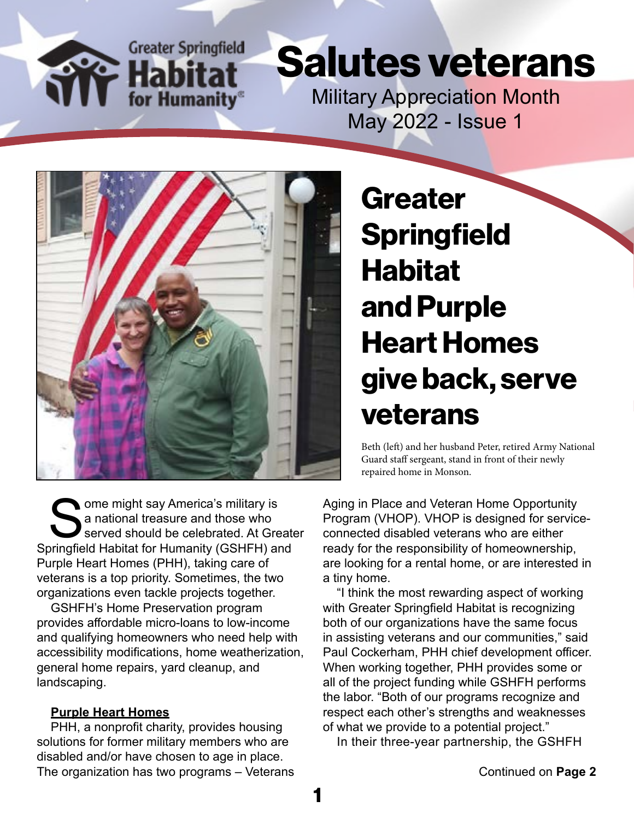

## Salutes veterans

Military Appreciation Month May 2022 - Issue 1



Some might say America's military is<br>
a national treasure and those who<br>
Springfield Habitat for Humanity (GSHFH) and a national treasure and those who served should be celebrated. At Greater Purple Heart Homes (PHH), taking care of veterans is a top priority. Sometimes, the two organizations even tackle projects together.

GSHFH's Home Preservation program provides affordable micro-loans to low-income and qualifying homeowners who need help with accessibility modifications, home weatherization, general home repairs, yard cleanup, and landscaping.

#### **Purple Heart Homes**

PHH, a nonprofit charity, provides housing solutions for former military members who are disabled and/or have chosen to age in place. The organization has two programs – Veterans **Greater Springfield** Habitat and Purple Heart Homes give back, serve veterans

Beth (left) and her husband Peter, retired Army National Guard staff sergeant, stand in front of their newly repaired home in Monson.

Aging in Place and Veteran Home Opportunity Program (VHOP). VHOP is designed for serviceconnected disabled veterans who are either ready for the responsibility of homeownership, are looking for a rental home, or are interested in a tiny home.

"I think the most rewarding aspect of working with Greater Springfield Habitat is recognizing both of our organizations have the same focus in assisting veterans and our communities," said Paul Cockerham, PHH chief development officer. When working together, PHH provides some or all of the project funding while GSHFH performs the labor. "Both of our programs recognize and respect each other's strengths and weaknesses of what we provide to a potential project."

In their three-year partnership, the GSHFH

1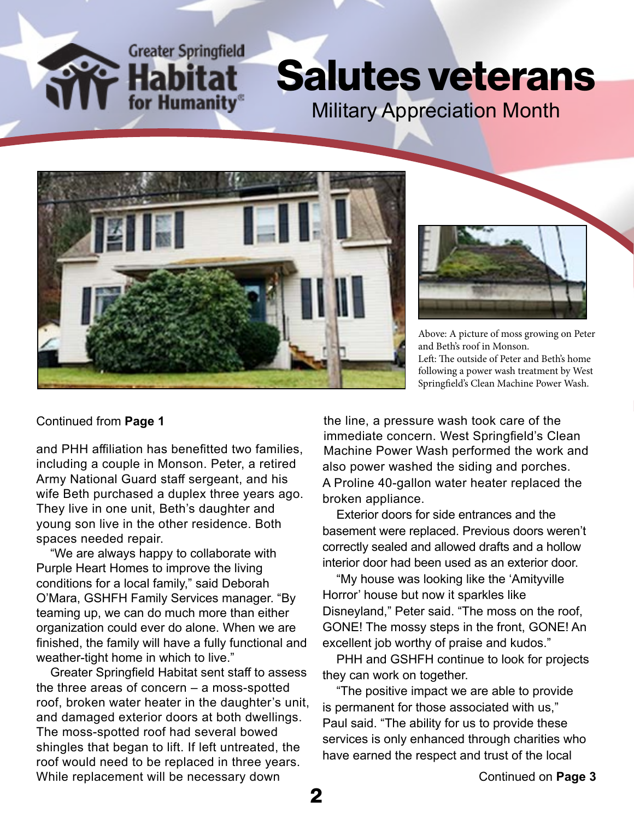**Greater Springfield** for Humanity

### Salutes veterans Military Appreciation Month





Above: A picture of moss growing on Peter and Beth's roof in Monson. Left: The outside of Peter and Beth's home following a power wash treatment by West Springfield's Clean Machine Power Wash.

#### Continued from **Page 1**

and PHH affiliation has benefitted two families, including a couple in Monson. Peter, a retired Army National Guard staff sergeant, and his wife Beth purchased a duplex three years ago. They live in one unit, Beth's daughter and young son live in the other residence. Both spaces needed repair.

"We are always happy to collaborate with Purple Heart Homes to improve the living conditions for a local family," said Deborah O'Mara, GSHFH Family Services manager. "By teaming up, we can do much more than either organization could ever do alone. When we are finished, the family will have a fully functional and weather-tight home in which to live."

Greater Springfield Habitat sent staff to assess the three areas of concern – a moss-spotted roof, broken water heater in the daughter's unit, and damaged exterior doors at both dwellings. The moss-spotted roof had several bowed shingles that began to lift. If left untreated, the roof would need to be replaced in three years. While replacement will be necessary down

the line, a pressure wash took care of the immediate concern. West Springfield's Clean Machine Power Wash performed the work and also power washed the siding and porches. A Proline 40-gallon water heater replaced the broken appliance.

Exterior doors for side entrances and the basement were replaced. Previous doors weren't correctly sealed and allowed drafts and a hollow interior door had been used as an exterior door.

"My house was looking like the 'Amityville Horror' house but now it sparkles like Disneyland," Peter said. "The moss on the roof, GONE! The mossy steps in the front, GONE! An excellent job worthy of praise and kudos."

PHH and GSHFH continue to look for projects they can work on together.

"The positive impact we are able to provide is permanent for those associated with us," Paul said. "The ability for us to provide these services is only enhanced through charities who have earned the respect and trust of the local

2